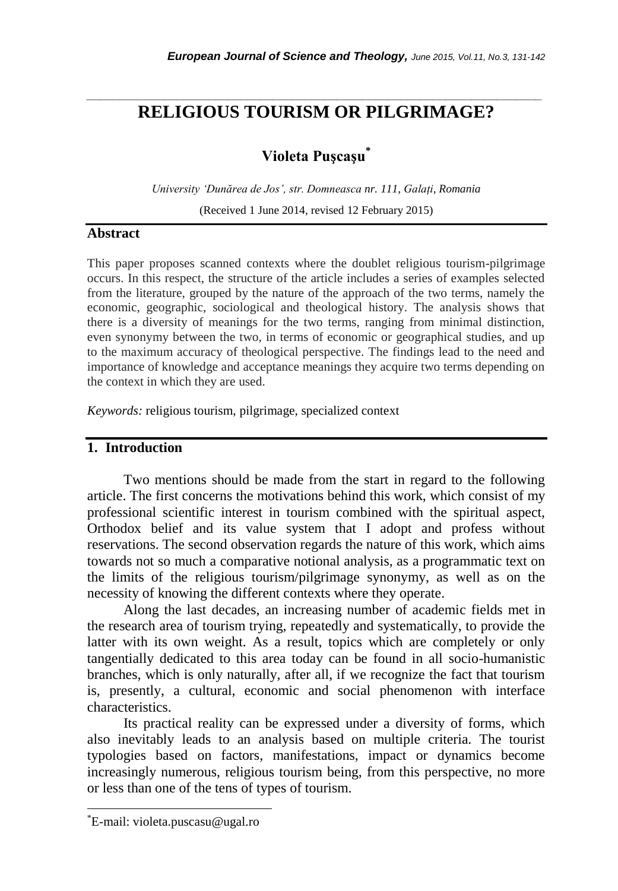# *\_\_\_\_\_\_\_\_\_\_\_\_\_\_\_\_\_\_\_\_\_\_\_\_\_\_\_\_\_\_\_\_\_\_\_\_\_\_\_\_\_\_\_\_\_\_\_\_\_\_\_\_\_\_\_\_\_\_\_\_\_\_\_\_\_\_\_\_\_\_\_* **RELIGIOUS TOURISM OR PILGRIMAGE?**

# **Violeta Puşcaşu\***

*University 'Dunărea de Jos', str. Domneasca nr. 111, Galați, Romania* (Received 1 June 2014, revised 12 February 2015)

#### **Abstract**

This paper proposes scanned contexts where the doublet religious tourism-pilgrimage occurs. In this respect, the structure of the article includes a series of examples selected from the literature, grouped by the nature of the approach of the two terms, namely the economic, geographic, sociological and theological history. The analysis shows that there is a diversity of meanings for the two terms, ranging from minimal distinction, even synonymy between the two, in terms of economic or geographical studies, and up to the maximum accuracy of theological perspective. The findings lead to the need and importance of knowledge and acceptance meanings they acquire two terms depending on the context in which they are used.

*Keywords:* religious tourism, pilgrimage, specialized context

#### **1. Introduction**

Two mentions should be made from the start in regard to the following article. The first concerns the motivations behind this work, which consist of my professional scientific interest in tourism combined with the spiritual aspect, Orthodox belief and its value system that I adopt and profess without reservations. The second observation regards the nature of this work, which aims towards not so much a comparative notional analysis, as a programmatic text on the limits of the religious tourism/pilgrimage synonymy, as well as on the necessity of knowing the different contexts where they operate.

Along the last decades, an increasing number of academic fields met in the research area of tourism trying, repeatedly and systematically, to provide the latter with its own weight. As a result, topics which are completely or only tangentially dedicated to this area today can be found in all socio-humanistic branches, which is only naturally, after all, if we recognize the fact that tourism is, presently, a cultural, economic and social phenomenon with interface characteristics.

Its practical reality can be expressed under a diversity of forms, which also inevitably leads to an analysis based on multiple criteria. The tourist typologies based on factors, manifestations, impact or dynamics become increasingly numerous, religious tourism being, from this perspective, no more or less than one of the tens of types of tourism.

l

<sup>\*</sup>E-mail: violeta.puscasu@ugal.ro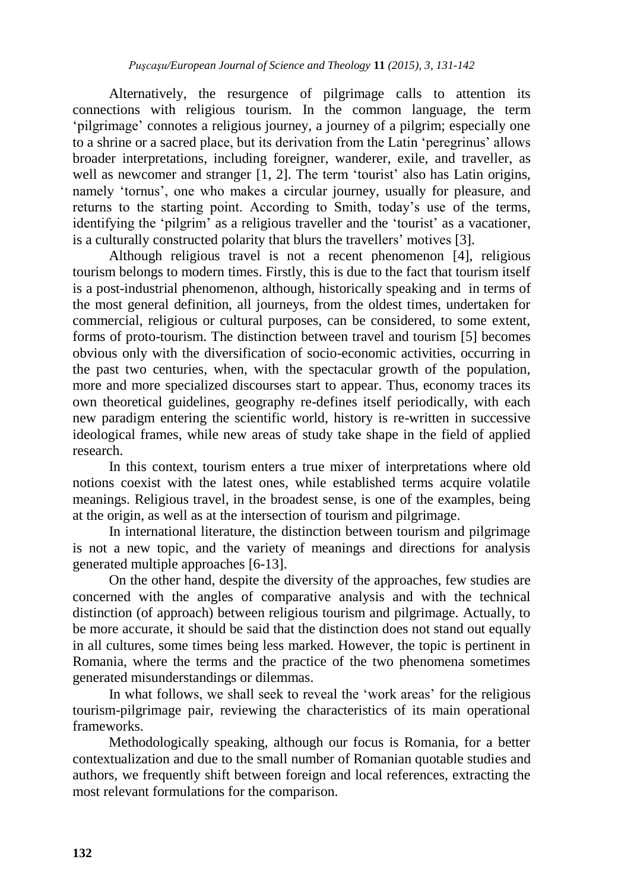Alternatively, the resurgence of pilgrimage calls to attention its connections with religious tourism. In the common language, the term "pilgrimage" connotes a religious journey, a journey of a pilgrim; especially one to a shrine or a sacred place, but its derivation from the Latin "peregrinus" allows broader interpretations, including foreigner, wanderer, exile, and traveller, as well as newcomer and stranger [1, 2]. The term 'tourist' also has Latin origins, namely 'tornus', one who makes a circular journey, usually for pleasure, and returns to the starting point. According to Smith, today"s use of the terms, identifying the 'pilgrim' as a religious traveller and the 'tourist' as a vacationer, is a culturally constructed polarity that blurs the travellers' motives [3].

Although religious travel is not a recent phenomenon [4], religious tourism belongs to modern times. Firstly, this is due to the fact that tourism itself is a post-industrial phenomenon, although, historically speaking and in terms of the most general definition, all journeys, from the oldest times, undertaken for commercial, religious or cultural purposes, can be considered, to some extent, forms of proto-tourism. The distinction between travel and tourism [5] becomes obvious only with the diversification of socio-economic activities, occurring in the past two centuries, when, with the spectacular growth of the population, more and more specialized discourses start to appear. Thus, economy traces its own theoretical guidelines, geography re-defines itself periodically, with each new paradigm entering the scientific world, history is re-written in successive ideological frames, while new areas of study take shape in the field of applied research.

In this context, tourism enters a true mixer of interpretations where old notions coexist with the latest ones, while established terms acquire volatile meanings. Religious travel, in the broadest sense, is one of the examples, being at the origin, as well as at the intersection of tourism and pilgrimage.

In international literature, the distinction between tourism and pilgrimage is not a new topic, and the variety of meanings and directions for analysis generated multiple approaches [6-13].

On the other hand, despite the diversity of the approaches, few studies are concerned with the angles of comparative analysis and with the technical distinction (of approach) between religious tourism and pilgrimage. Actually, to be more accurate, it should be said that the distinction does not stand out equally in all cultures, some times being less marked. However, the topic is pertinent in Romania, where the terms and the practice of the two phenomena sometimes generated misunderstandings or dilemmas.

In what follows, we shall seek to reveal the 'work areas' for the religious tourism-pilgrimage pair, reviewing the characteristics of its main operational frameworks.

Methodologically speaking, although our focus is Romania, for a better contextualization and due to the small number of Romanian quotable studies and authors, we frequently shift between foreign and local references, extracting the most relevant formulations for the comparison.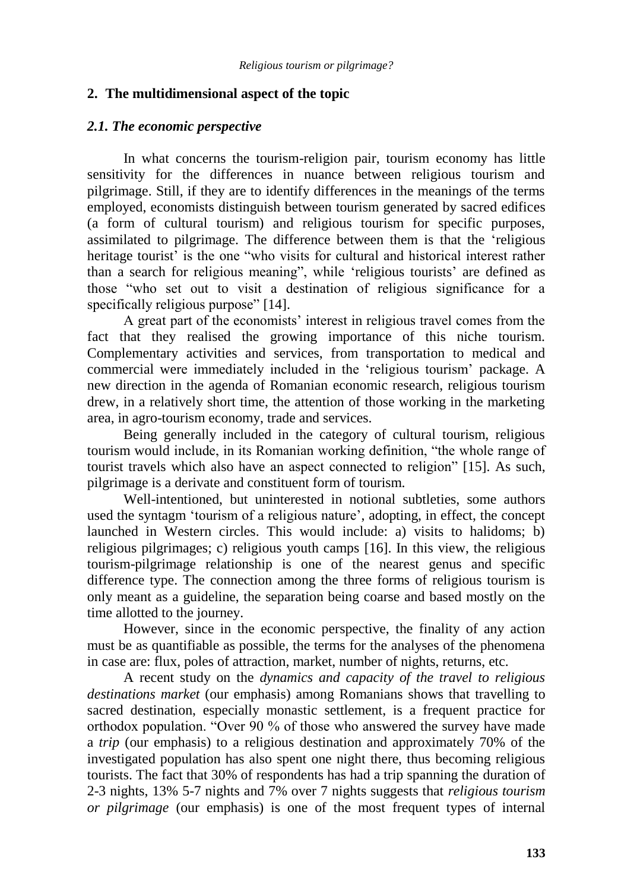#### **2. The multidimensional aspect of the topic**

#### *2.1. The economic perspective*

In what concerns the tourism-religion pair, tourism economy has little sensitivity for the differences in nuance between religious tourism and pilgrimage. Still, if they are to identify differences in the meanings of the terms employed, economists distinguish between tourism generated by sacred edifices (a form of cultural tourism) and religious tourism for specific purposes, assimilated to pilgrimage. The difference between them is that the "religious heritage tourist' is the one "who visits for cultural and historical interest rather than a search for religious meaning", while "religious tourists" are defined as those "who set out to visit a destination of religious significance for a specifically religious purpose" [14].

A great part of the economists" interest in religious travel comes from the fact that they realised the growing importance of this niche tourism. Complementary activities and services, from transportation to medical and commercial were immediately included in the "religious tourism" package. A new direction in the agenda of Romanian economic research, religious tourism drew, in a relatively short time, the attention of those working in the marketing area, in agro-tourism economy, trade and services.

Being generally included in the category of cultural tourism, religious tourism would include, in its Romanian working definition, "the whole range of tourist travels which also have an aspect connected to religion" [15]. As such, pilgrimage is a derivate and constituent form of tourism.

Well-intentioned, but uninterested in notional subtleties, some authors used the syntagm 'tourism of a religious nature', adopting, in effect, the concept launched in Western circles. This would include: a) visits to halidoms; b) religious pilgrimages; c) religious youth camps [16]. In this view, the religious tourism-pilgrimage relationship is one of the nearest genus and specific difference type. The connection among the three forms of religious tourism is only meant as a guideline, the separation being coarse and based mostly on the time allotted to the journey.

However, since in the economic perspective, the finality of any action must be as quantifiable as possible, the terms for the analyses of the phenomena in case are: flux, poles of attraction, market, number of nights, returns, etc.

A recent study on the *dynamics and capacity of the travel to religious destinations market* (our emphasis) among Romanians shows that travelling to sacred destination, especially monastic settlement, is a frequent practice for orthodox population. "Over 90 % of those who answered the survey have made a *trip* (our emphasis) to a religious destination and approximately 70% of the investigated population has also spent one night there, thus becoming religious tourists. The fact that 30% of respondents has had a trip spanning the duration of 2-3 nights, 13% 5-7 nights and 7% over 7 nights suggests that *religious tourism or pilgrimage* (our emphasis) is one of the most frequent types of internal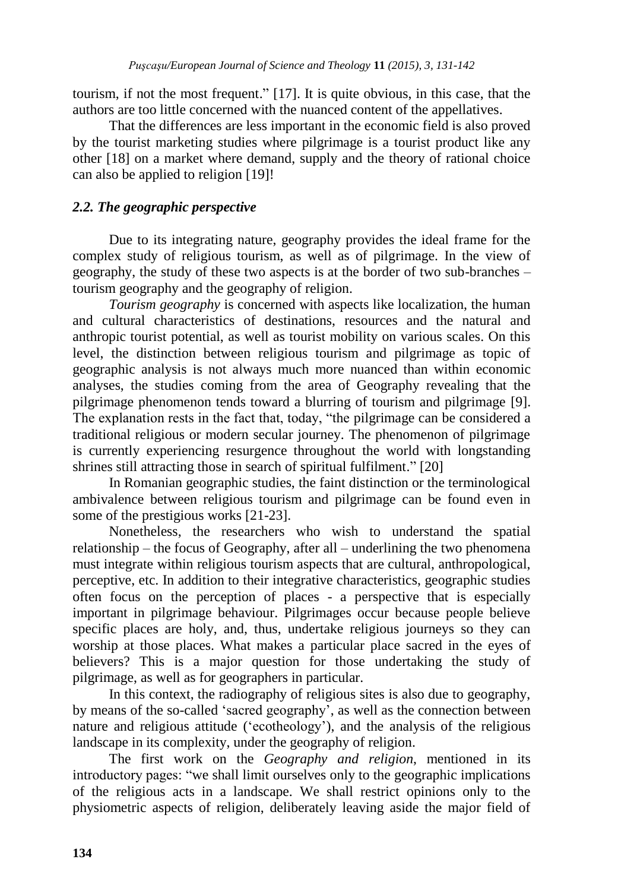tourism, if not the most frequent." [17]. It is quite obvious, in this case, that the authors are too little concerned with the nuanced content of the appellatives.

That the differences are less important in the economic field is also proved by the tourist marketing studies where pilgrimage is a tourist product like any other [18] on a market where demand, supply and the theory of rational choice can also be applied to religion [19]!

# *2.2. The geographic perspective*

Due to its integrating nature, geography provides the ideal frame for the complex study of religious tourism, as well as of pilgrimage. In the view of geography, the study of these two aspects is at the border of two sub-branches – tourism geography and the geography of religion.

*Tourism geography* is concerned with aspects like localization, the human and cultural characteristics of destinations, resources and the natural and anthropic tourist potential, as well as tourist mobility on various scales. On this level, the distinction between religious tourism and pilgrimage as topic of geographic analysis is not always much more nuanced than within economic analyses, the studies coming from the area of Geography revealing that the pilgrimage phenomenon tends toward a blurring of tourism and pilgrimage [9]. The explanation rests in the fact that, today, "the pilgrimage can be considered a traditional religious or modern secular journey. The phenomenon of pilgrimage is currently experiencing resurgence throughout the world with longstanding shrines still attracting those in search of spiritual fulfilment." [20]

In Romanian geographic studies, the faint distinction or the terminological ambivalence between religious tourism and pilgrimage can be found even in some of the prestigious works [21-23].

Nonetheless, the researchers who wish to understand the spatial relationship – the focus of Geography, after all – underlining the two phenomena must integrate within religious tourism aspects that are cultural, anthropological, perceptive, etc. In addition to their integrative characteristics, geographic studies often focus on the perception of places - a perspective that is especially important in pilgrimage behaviour. Pilgrimages occur because people believe specific places are holy, and, thus, undertake religious journeys so they can worship at those places. What makes a particular place sacred in the eyes of believers? This is a major question for those undertaking the study of pilgrimage, as well as for geographers in particular.

In this context, the radiography of religious sites is also due to geography, by means of the so-called "sacred geography", as well as the connection between nature and religious attitude ("ecotheology"), and the analysis of the religious landscape in its complexity, under the geography of religion.

The first work on the *Geography and religion*, mentioned in its introductory pages: "we shall limit ourselves only to the geographic implications of the religious acts in a landscape. We shall restrict opinions only to the physiometric aspects of religion, deliberately leaving aside the major field of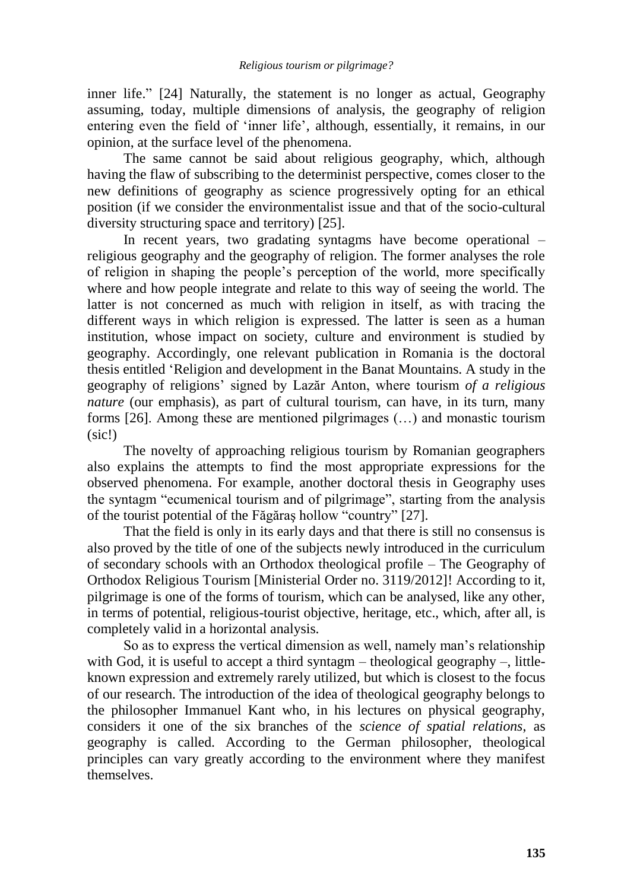inner life." [24] Naturally, the statement is no longer as actual, Geography assuming, today, multiple dimensions of analysis, the geography of religion entering even the field of "inner life", although, essentially, it remains, in our opinion, at the surface level of the phenomena.

The same cannot be said about religious geography, which, although having the flaw of subscribing to the determinist perspective, comes closer to the new definitions of geography as science progressively opting for an ethical position (if we consider the environmentalist issue and that of the socio-cultural diversity structuring space and territory) [25].

In recent years, two gradating syntagms have become operational – religious geography and the geography of religion. The former analyses the role of religion in shaping the people"s perception of the world, more specifically where and how people integrate and relate to this way of seeing the world. The latter is not concerned as much with religion in itself, as with tracing the different ways in which religion is expressed. The latter is seen as a human institution, whose impact on society, culture and environment is studied by geography. Accordingly, one relevant publication in Romania is the doctoral thesis entitled "Religion and development in the Banat Mountains. A study in the geography of religions" signed by Lazăr Anton, where tourism *of a religious nature* (our emphasis), as part of cultural tourism, can have, in its turn, many forms [26]. Among these are mentioned pilgrimages (…) and monastic tourism (sic!)

The novelty of approaching religious tourism by Romanian geographers also explains the attempts to find the most appropriate expressions for the observed phenomena. For example, another doctoral thesis in Geography uses the syntagm "ecumenical tourism and of pilgrimage", starting from the analysis of the tourist potential of the Făgăraş hollow "country" [27].

That the field is only in its early days and that there is still no consensus is also proved by the title of one of the subjects newly introduced in the curriculum of secondary schools with an Orthodox theological profile – The Geography of Orthodox Religious Tourism [Ministerial Order no. 3119/2012]! According to it, pilgrimage is one of the forms of tourism, which can be analysed, like any other, in terms of potential, religious-tourist objective, heritage, etc., which, after all, is completely valid in a horizontal analysis.

So as to express the vertical dimension as well, namely man"s relationship with God, it is useful to accept a third syntagm  $-$  theological geography  $-$ , littleknown expression and extremely rarely utilized, but which is closest to the focus of our research. The introduction of the idea of theological geography belongs to the philosopher Immanuel Kant who, in his lectures on physical geography, considers it one of the six branches of the *science of spatial relations*, as geography is called. According to the German philosopher, theological principles can vary greatly according to the environment where they manifest themselves.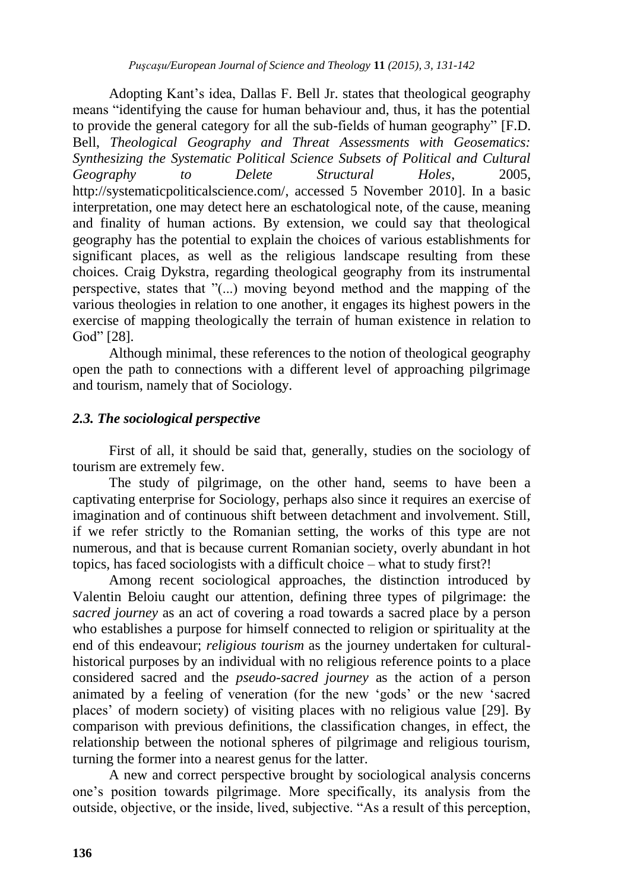Adopting Kant"s idea, Dallas F. Bell Jr. states that theological geography means "identifying the cause for human behaviour and, thus, it has the potential to provide the general category for all the sub-fields of human geography" [F.D. Bell, *Theological Geography and Threat Assessments with Geosematics: Synthesizing the Systematic Political Science Subsets of Political and Cultural Geography to Delete Structural Holes*, 2005, http://systematicpoliticalscience.com/, accessed 5 November 2010]. In a basic interpretation, one may detect here an eschatological note, of the cause, meaning and finality of human actions. By extension, we could say that theological geography has the potential to explain the choices of various establishments for significant places, as well as the religious landscape resulting from these choices. Craig Dykstra, regarding theological geography from its instrumental perspective, states that "(...) moving beyond method and the mapping of the various theologies in relation to one another, it engages its highest powers in the exercise of mapping theologically the terrain of human existence in relation to God" [28].

Although minimal, these references to the notion of theological geography open the path to connections with a different level of approaching pilgrimage and tourism, namely that of Sociology.

## *2.3. The sociological perspective*

First of all, it should be said that, generally, studies on the sociology of tourism are extremely few.

The study of pilgrimage, on the other hand, seems to have been a captivating enterprise for Sociology, perhaps also since it requires an exercise of imagination and of continuous shift between detachment and involvement. Still, if we refer strictly to the Romanian setting, the works of this type are not numerous, and that is because current Romanian society, overly abundant in hot topics, has faced sociologists with a difficult choice – what to study first?!

Among recent sociological approaches, the distinction introduced by Valentin Beloiu caught our attention, defining three types of pilgrimage: the *sacred journey* as an act of covering a road towards a sacred place by a person who establishes a purpose for himself connected to religion or spirituality at the end of this endeavour; *religious tourism* as the journey undertaken for culturalhistorical purposes by an individual with no religious reference points to a place considered sacred and the *pseudo-sacred journey* as the action of a person animated by a feeling of veneration (for the new "gods" or the new "sacred places" of modern society) of visiting places with no religious value [29]. By comparison with previous definitions, the classification changes, in effect, the relationship between the notional spheres of pilgrimage and religious tourism, turning the former into a nearest genus for the latter.

A new and correct perspective brought by sociological analysis concerns one"s position towards pilgrimage. More specifically, its analysis from the outside, objective, or the inside, lived, subjective. "As a result of this perception,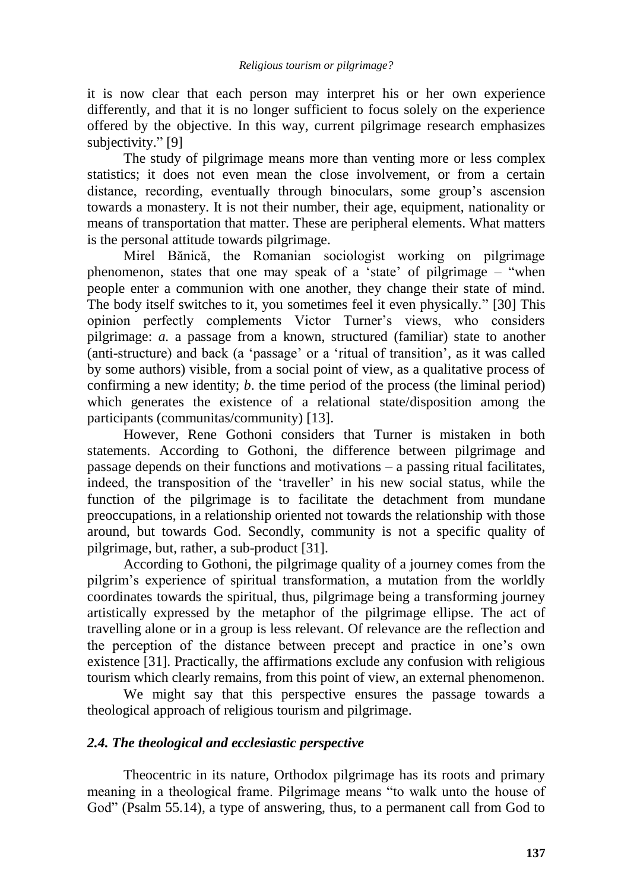it is now clear that each person may interpret his or her own experience differently, and that it is no longer sufficient to focus solely on the experience offered by the objective. In this way, current pilgrimage research emphasizes subjectivity." [9]

The study of pilgrimage means more than venting more or less complex statistics; it does not even mean the close involvement, or from a certain distance, recording, eventually through binoculars, some group's ascension towards a monastery. It is not their number, their age, equipment, nationality or means of transportation that matter. These are peripheral elements. What matters is the personal attitude towards pilgrimage.

Mirel Bănică, the Romanian sociologist working on pilgrimage phenomenon, states that one may speak of a "state" of pilgrimage – "when people enter a communion with one another, they change their state of mind. The body itself switches to it, you sometimes feel it even physically." [30] This opinion perfectly complements Victor Turner"s views, who considers pilgrimage: *a.* a passage from a known, structured (familiar) state to another (anti-structure) and back (a "passage" or a "ritual of transition", as it was called by some authors) visible, from a social point of view, as a qualitative process of confirming a new identity; *b*. the time period of the process (the liminal period) which generates the existence of a relational state/disposition among the participants (communitas/community) [13].

However, Rene Gothoni considers that Turner is mistaken in both statements. According to Gothoni, the difference between pilgrimage and passage depends on their functions and motivations – a passing ritual facilitates, indeed, the transposition of the "traveller" in his new social status, while the function of the pilgrimage is to facilitate the detachment from mundane preoccupations, in a relationship oriented not towards the relationship with those around, but towards God. Secondly, community is not a specific quality of pilgrimage, but, rather, a sub-product [31].

According to Gothoni, the pilgrimage quality of a journey comes from the pilgrim"s experience of spiritual transformation, a mutation from the worldly coordinates towards the spiritual, thus, pilgrimage being a transforming journey artistically expressed by the metaphor of the pilgrimage ellipse. The act of travelling alone or in a group is less relevant. Of relevance are the reflection and the perception of the distance between precept and practice in one"s own existence [31]. Practically, the affirmations exclude any confusion with religious tourism which clearly remains, from this point of view, an external phenomenon.

We might say that this perspective ensures the passage towards a theological approach of religious tourism and pilgrimage.

## *2.4. The theological and ecclesiastic perspective*

Theocentric in its nature, Orthodox pilgrimage has its roots and primary meaning in a theological frame. Pilgrimage means "to walk unto the house of God" (Psalm 55.14), a type of answering, thus, to a permanent call from God to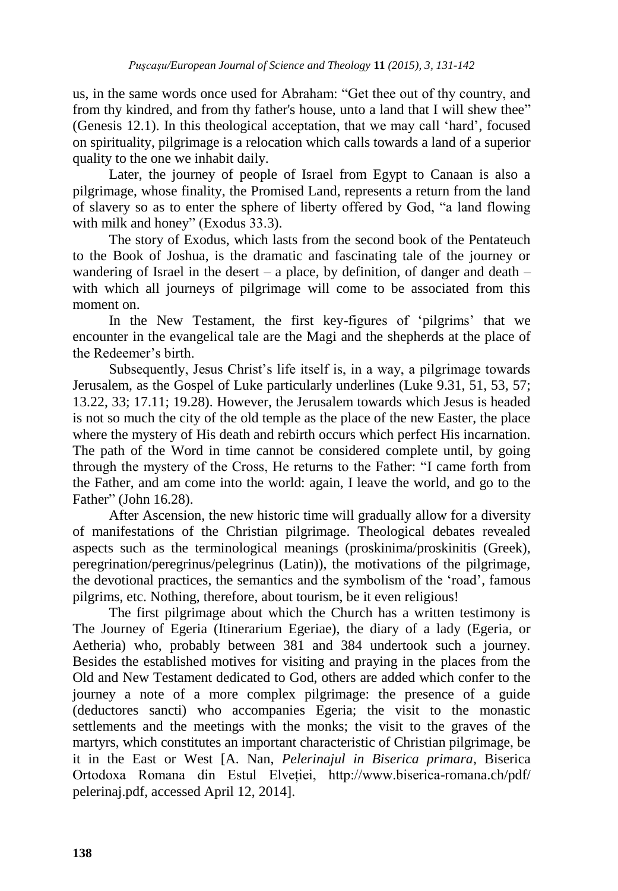us, in the same words once used for Abraham: "Get thee out of thy country, and from thy kindred, and from thy father's house, unto a land that I will shew thee" (Genesis 12.1). In this theological acceptation, that we may call "hard", focused on spirituality, pilgrimage is a relocation which calls towards a land of a superior quality to the one we inhabit daily.

Later, the journey of people of Israel from Egypt to Canaan is also a pilgrimage, whose finality, the Promised Land, represents a return from the land of slavery so as to enter the sphere of liberty offered by God, "a land flowing with milk and honey" (Exodus 33.3).

The story of Exodus, which lasts from the second book of the Pentateuch to the Book of Joshua, is the dramatic and fascinating tale of the journey or wandering of Israel in the desert – a place, by definition, of danger and death – with which all journeys of pilgrimage will come to be associated from this moment on.

In the New Testament, the first key-figures of 'pilgrims' that we encounter in the evangelical tale are the Magi and the shepherds at the place of the Redeemer"s birth.

Subsequently, Jesus Christ's life itself is, in a way, a pilgrimage towards Jerusalem, as the Gospel of Luke particularly underlines (Luke 9.31, 51, 53, 57; 13.22, 33; 17.11; 19.28). However, the Jerusalem towards which Jesus is headed is not so much the city of the old temple as the place of the new Easter, the place where the mystery of His death and rebirth occurs which perfect His incarnation. The path of the Word in time cannot be considered complete until, by going through the mystery of the Cross, He returns to the Father: "I came forth from the Father, and am come into the world: again, I leave the world, and go to the Father" (John 16.28).

After Ascension, the new historic time will gradually allow for a diversity of manifestations of the Christian pilgrimage. Theological debates revealed aspects such as the terminological meanings (proskinima/proskinitis (Greek), peregrination/peregrinus/pelegrinus (Latin)), the motivations of the pilgrimage, the devotional practices, the semantics and the symbolism of the "road", famous pilgrims, etc. Nothing, therefore, about tourism, be it even religious!

The first pilgrimage about which the Church has a written testimony is The Journey of Egeria (Itinerarium Egeriae), the diary of a lady (Egeria, or Aetheria) who, probably between 381 and 384 undertook such a journey. Besides the established motives for visiting and praying in the places from the Old and New Testament dedicated to God, others are added which confer to the journey a note of a more complex pilgrimage: the presence of a guide (deductores sancti) who accompanies Egeria; the visit to the monastic settlements and the meetings with the monks; the visit to the graves of the martyrs, which constitutes an important characteristic of Christian pilgrimage, be it in the East or West [A. Nan, *Pelerinajul in Biserica primara*, Biserica Ortodoxa Romana din Estul Elveției, http://www.biserica-romana.ch/pdf/ pelerinaj.pdf, accessed April 12, 2014].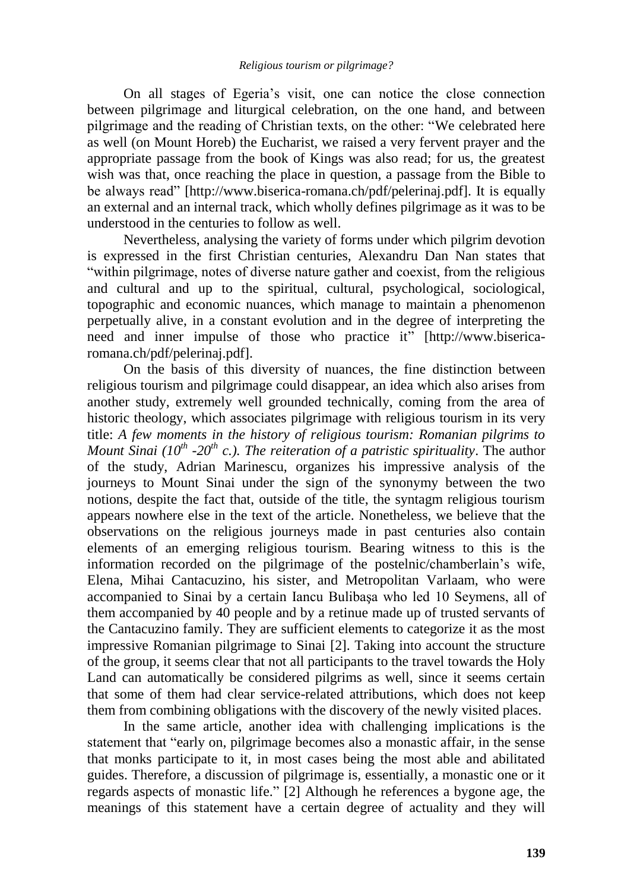On all stages of Egeria"s visit, one can notice the close connection between pilgrimage and liturgical celebration, on the one hand, and between pilgrimage and the reading of Christian texts, on the other: "We celebrated here as well (on Mount Horeb) the Eucharist, we raised a very fervent prayer and the appropriate passage from the book of Kings was also read; for us, the greatest wish was that, once reaching the place in question, a passage from the Bible to be always read" [http://www.biserica-romana.ch/pdf/pelerinai.pdf]. It is equally an external and an internal track, which wholly defines pilgrimage as it was to be understood in the centuries to follow as well.

Nevertheless, analysing the variety of forms under which pilgrim devotion is expressed in the first Christian centuries, Alexandru Dan Nan states that "within pilgrimage, notes of diverse nature gather and coexist, from the religious and cultural and up to the spiritual, cultural, psychological, sociological, topographic and economic nuances, which manage to maintain a phenomenon perpetually alive, in a constant evolution and in the degree of interpreting the need and inner impulse of those who practice it" [http://www.bisericaromana.ch/pdf/pelerinaj.pdf].

On the basis of this diversity of nuances, the fine distinction between religious tourism and pilgrimage could disappear, an idea which also arises from another study, extremely well grounded technically, coming from the area of historic theology, which associates pilgrimage with religious tourism in its very title: *A few moments in the history of religious tourism: Romanian pilgrims to Mount Sinai (10th -20th c.). The reiteration of a patristic spirituality*. The author of the study, Adrian Marinescu, organizes his impressive analysis of the journeys to Mount Sinai under the sign of the synonymy between the two notions, despite the fact that, outside of the title, the syntagm religious tourism appears nowhere else in the text of the article. Nonetheless, we believe that the observations on the religious journeys made in past centuries also contain elements of an emerging religious tourism. Bearing witness to this is the information recorded on the pilgrimage of the postelnic/chamberlain"s wife, Elena, Mihai Cantacuzino, his sister, and Metropolitan Varlaam, who were accompanied to Sinai by a certain Iancu Bulibaşa who led 10 Seymens, all of them accompanied by 40 people and by a retinue made up of trusted servants of the Cantacuzino family. They are sufficient elements to categorize it as the most impressive Romanian pilgrimage to Sinai [2]. Taking into account the structure of the group, it seems clear that not all participants to the travel towards the Holy Land can automatically be considered pilgrims as well, since it seems certain that some of them had clear service-related attributions, which does not keep them from combining obligations with the discovery of the newly visited places.

In the same article, another idea with challenging implications is the statement that "early on, pilgrimage becomes also a monastic affair, in the sense that monks participate to it, in most cases being the most able and abilitated guides. Therefore, a discussion of pilgrimage is, essentially, a monastic one or it regards aspects of monastic life." [2] Although he references a bygone age, the meanings of this statement have a certain degree of actuality and they will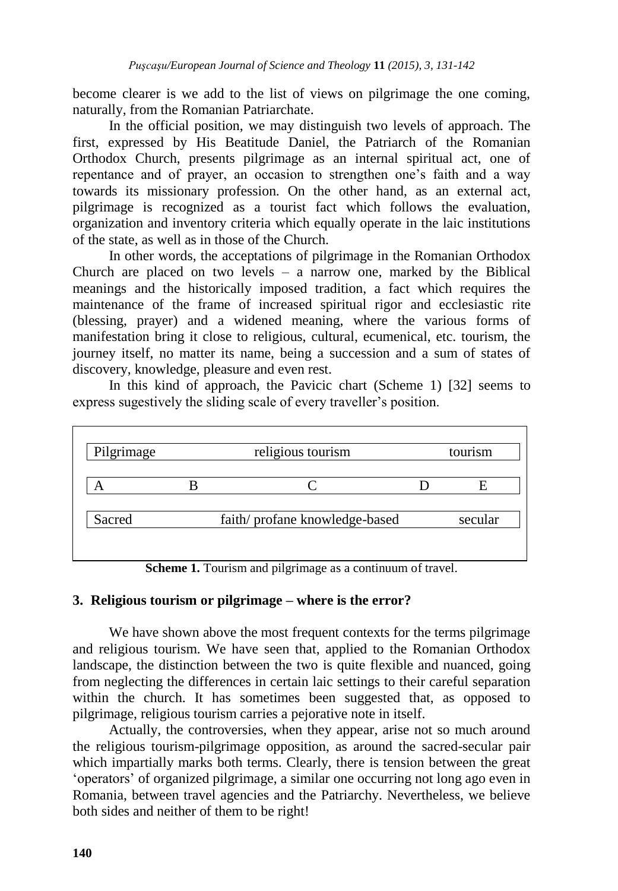become clearer is we add to the list of views on pilgrimage the one coming, naturally, from the Romanian Patriarchate.

In the official position, we may distinguish two levels of approach. The first, expressed by His Beatitude Daniel, the Patriarch of the Romanian Orthodox Church, presents pilgrimage as an internal spiritual act, one of repentance and of prayer, an occasion to strengthen one's faith and a way towards its missionary profession. On the other hand, as an external act, pilgrimage is recognized as a tourist fact which follows the evaluation, organization and inventory criteria which equally operate in the laic institutions of the state, as well as in those of the Church.

In other words, the acceptations of pilgrimage in the Romanian Orthodox Church are placed on two levels  $-$  a narrow one, marked by the Biblical meanings and the historically imposed tradition, a fact which requires the maintenance of the frame of increased spiritual rigor and ecclesiastic rite (blessing, prayer) and a widened meaning, where the various forms of manifestation bring it close to religious, cultural, ecumenical, etc. tourism, the journey itself, no matter its name, being a succession and a sum of states of discovery, knowledge, pleasure and even rest.

In this kind of approach, the Pavicic chart (Scheme 1) [32] seems to express sugestively the sliding scale of every traveller's position.

| Pilgrimage | religious tourism |                               | tourism |         |
|------------|-------------------|-------------------------------|---------|---------|
|            |                   |                               |         |         |
| Sacred     |                   | faith/profane knowledge-based |         | secular |

**Scheme 1.** Tourism and pilgrimage as a continuum of travel.

## **3. Religious tourism or pilgrimage – where is the error?**

We have shown above the most frequent contexts for the terms pilgrimage and religious tourism. We have seen that, applied to the Romanian Orthodox landscape, the distinction between the two is quite flexible and nuanced, going from neglecting the differences in certain laic settings to their careful separation within the church. It has sometimes been suggested that, as opposed to pilgrimage, religious tourism carries a pejorative note in itself.

Actually, the controversies, when they appear, arise not so much around the religious tourism-pilgrimage opposition, as around the sacred-secular pair which impartially marks both terms. Clearly, there is tension between the great "operators" of organized pilgrimage, a similar one occurring not long ago even in Romania, between travel agencies and the Patriarchy. Nevertheless, we believe both sides and neither of them to be right!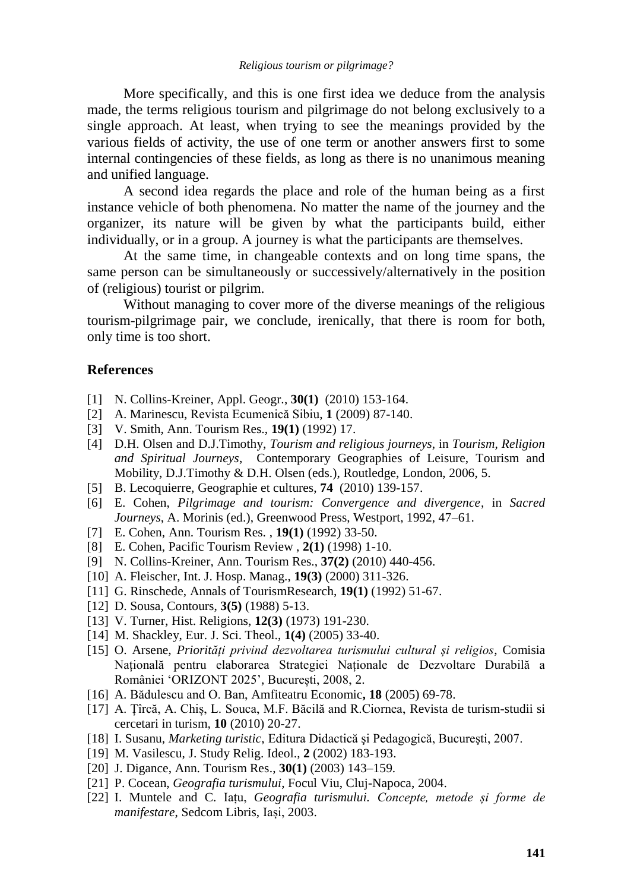More specifically, and this is one first idea we deduce from the analysis made, the terms religious tourism and pilgrimage do not belong exclusively to a single approach. At least, when trying to see the meanings provided by the various fields of activity, the use of one term or another answers first to some internal contingencies of these fields, as long as there is no unanimous meaning and unified language.

A second idea regards the place and role of the human being as a first instance vehicle of both phenomena. No matter the name of the journey and the organizer, its nature will be given by what the participants build, either individually, or in a group. A journey is what the participants are themselves.

At the same time, in changeable contexts and on long time spans, the same person can be simultaneously or successively/alternatively in the position of (religious) tourist or pilgrim.

Without managing to cover more of the diverse meanings of the religious tourism-pilgrimage pair, we conclude, irenically, that there is room for both, only time is too short.

#### **References**

- [1] N. Collins-Kreiner, Appl. Geogr., **30(1)** (2010) 153-164.
- [2] A. Marinescu, Revista Ecumenică Sibiu, **1** (2009) 87-140.
- [3] V. Smith, Ann. Tourism Res., **19(1)** (1992) 17.
- [4] D.H. Olsen and D.J.Timothy, *Tourism and religious journeys*, in *Tourism, Religion and Spiritual Journeys*, Contemporary Geographies of Leisure, Tourism and Mobility, D.J.Timothy & D.H. Olsen (eds.), Routledge, London, 2006, 5.
- [5] B. Lecoquierre, Geographie et cultures, **74** (2010) 139-157.
- [6] E. Cohen, *Pilgrimage and tourism: Convergence and divergence*, in *Sacred Journeys*, A. Morinis (ed.), Greenwood Press, Westport, 1992, 47–61.
- [7] E. Cohen, Ann. Tourism Res. , **19(1)** (1992) 33-50.
- [8] E. Cohen, Pacific Tourism Review , **2(1)** (1998) 1-10.
- [9] N. Collins-Kreiner, Ann. Tourism Res., **37(2)** (2010) 440-456.
- [10] A. Fleischer, Int. J. Hosp. Manag., **19(3)** (2000) 311-326.
- [11] G. Rinschede, Annals of TourismResearch, **19(1)** (1992) 51-67.
- [12] D. Sousa, Contours, **3(5)** (1988) 5-13.
- [13] V. Turner, Hist. Religions, **12(3)** (1973) 191-230.
- [14] M. Shackley, Eur. J. Sci. Theol., **1(4)** (2005) 33-40.
- [15] O. Arsene, *Priorități privind dezvoltarea turismului cultural și religios*, Comisia Națională pentru elaborarea Strategiei Naționale de Dezvoltare Durabilă a României "ORIZONT 2025", București, 2008, 2.
- [16] A. Bădulescu and O. Ban, Amfiteatru Economic**, 18** (2005) 69-78.
- [17] A. Țîrcă, A. Chiș, L. Souca, M.F. Băcilă and R.Ciornea, Revista de turism-studii si cercetari in turism*,* **10** (2010) 20-27.
- [18] I. Susanu, *Marketing turistic*, Editura Didactică şi Pedagogică, Bucureşti, 2007.
- [19] M. Vasilescu, J. Study Relig. Ideol., **2** (2002) 183-193.
- [20] J. Digance, Ann. Tourism Res., **30(1)** (2003) 143–159.
- [21] P. Cocean, *Geografia turismului*, Focul Viu, Cluj-Napoca, 2004.
- [22] I. Muntele and C. Iațu, *Geografia turismului. Concepte, metode și forme de manifestare*, Sedcom Libris, Iași, 2003.